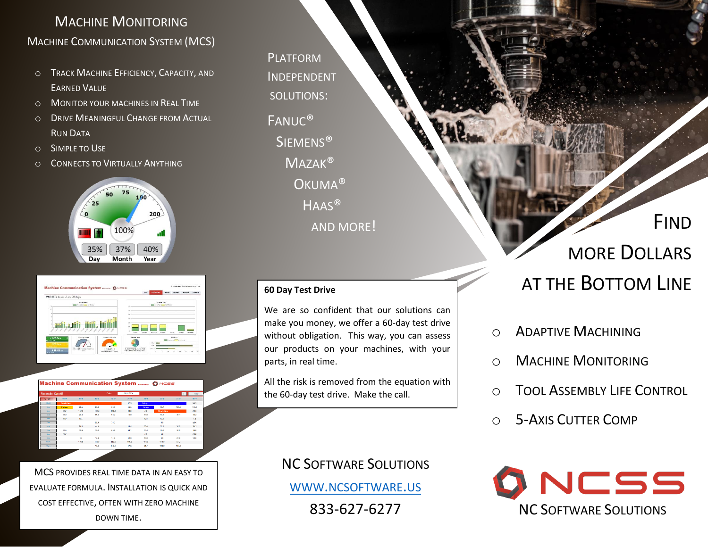### MACHINE MONITORING MACHINE COMMUNICATION SYSTEM (MCS)

- o TRACK MACHINE EFFICIENCY, CAPACITY, AND EARNED VALUE
- o MONITOR YOUR MACHINES IN REAL TIME
- o DRIVE MEANINGFUL CHANGE FROM ACTUAL RUN DATA
- o SIMPLE TO USE
- o CONNECTS TO VIRTUALLY ANYTHING



| MCS Dashboard - Last 30 days                                                 |                                                                                                                      |
|------------------------------------------------------------------------------|----------------------------------------------------------------------------------------------------------------------|
| <b>My for Sommary</b><br><b>Bank Area Video Forms and Rivers</b>             | <b>Finders Minimum</b><br><b>STATE CALL AND INTERNATIONAL</b>                                                        |
|                                                                              | <b>Miller</b><br>ve a                                                                                                |
|                                                                              | $^{16}$                                                                                                              |
|                                                                              | Va.<br>$\mathbf{r}$                                                                                                  |
|                                                                              | $\mathbf{r}$                                                                                                         |
| ,,,,,,,,,,,,,,                                                               | <b>STEAM</b><br><b>HALAM</b><br><b>FOR BOX</b><br><b>Hardwar</b><br><b>Suntance</b><br><b>CISAS</b><br><b>Kingdo</b> |
| in attrival their<br><b>Marina McGulleni</b><br>+ 820 Strs<br><b>WINDOWS</b> | <b>Service County</b><br><b>Britannia</b><br><b>EDITE CARD CAR ET TRANSPORT</b>                                      |
|                                                                              |                                                                                                                      |

Machine Communication System Ô <mark>∾⊂</mark>ss



MCS PROVIDES REAL TIME DATA IN AN EASY TO EVALUATE FORMULA. INSTALLATION IS QUICK AND COST EFFECTIVE, OFTEN WITH ZERO MACHINE DOWN TIME.

PLATFORM INDEPENDENT FANUC® **FANUC® SIEMENS® MAZAK® OKUMA® HAAS®** SOLUTIONS: AND MORE!

#### **60 Day Test Drive**

We are so confident that our solutions can make you money, we offer a 60-day test drive without obligation. This way, you can assess our products on your machines, with your parts, in real time.

All the risk is removed from the equation with the 60-day test drive. Make the call.

> NC SOFTWARE SOLUTIONS WWW.[NCSOFTWARE](http://www.ncsoftware.us/).US 833-627-6277

FIND MORE DOLLARS AT THE BOTTOM LINE

- o ADAPTIVE MACHINING
- o MACHINE MONITORING
- o TOOL ASSEMBLY LIFE CONTROL
- o 5-AXIS CUTTER COMP